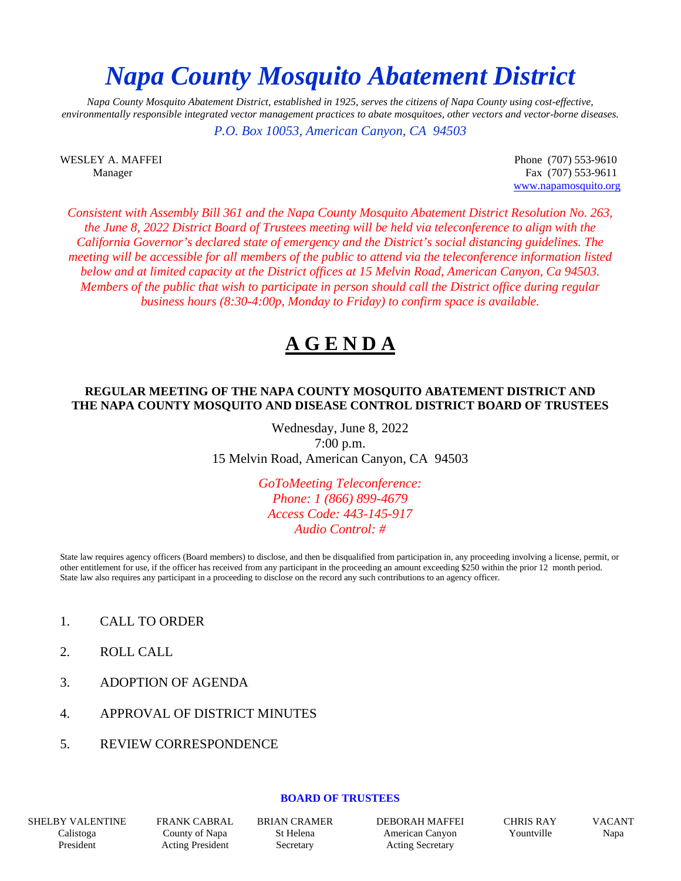# *Napa County Mosquito Abatement District*

*Napa County Mosquito Abatement District, established in 1925, serves the citizens of Napa County using cost-effective, environmentally responsible integrated vector management practices to abate mosquitoes, other vectors and vector-borne diseases.*

*P.O. Box 10053, American Canyon, CA 94503*

WESLEY A. MAFFEI Phone (707) 553-9610 Manager Fax (707) 553-9611 [www.napamosquito.org](http://www.napamosquito.org/)

*Consistent with Assembly Bill 361 and the Napa County Mosquito Abatement District Resolution No. 263, the June 8, 2022 District Board of Trustees meeting will be held via teleconference to align with the California Governor's declared state of emergency and the District's social distancing guidelines. The meeting will be accessible for all members of the public to attend via the teleconference information listed below and at limited capacity at the District offices at 15 Melvin Road, American Canyon, Ca 94503. Members of the public that wish to participate in person should call the District office during regular business hours (8:30-4:00p, Monday to Friday) to confirm space is available.*

## **A G E N D A**

#### **REGULAR MEETING OF THE NAPA COUNTY MOSQUITO ABATEMENT DISTRICT AND THE NAPA COUNTY MOSQUITO AND DISEASE CONTROL DISTRICT BOARD OF TRUSTEES**

Wednesday, June 8, 2022 7:00 p.m. 15 Melvin Road, American Canyon, CA 94503

> *GoToMeeting Teleconference: Phone: 1 (866) 899-4679 Access Code: 443-145-917 Audio Control: #*

State law requires agency officers (Board members) to disclose, and then be disqualified from participation in, any proceeding involving a license, permit, or other entitlement for use, if the officer has received from any participant in the proceeding an amount exceeding \$250 within the prior 12 month period. State law also requires any participant in a proceeding to disclose on the record any such contributions to an agency officer.

- 1. CALL TO ORDER
- 2. ROLL CALL
- 3. ADOPTION OF AGENDA
- 4. APPROVAL OF DISTRICT MINUTES
- 5. REVIEW CORRESPONDENCE

#### **BOARD OF TRUSTEES**

SHELBY VALENTINE Calistoga President

FRANK CABRAL County of Napa Acting President

BRIAN CRAMER St Helena Secretary

DEBORAH MAFFEI American Canyon Acting Secretary

CHRIS RAY Yountville

VACANT Napa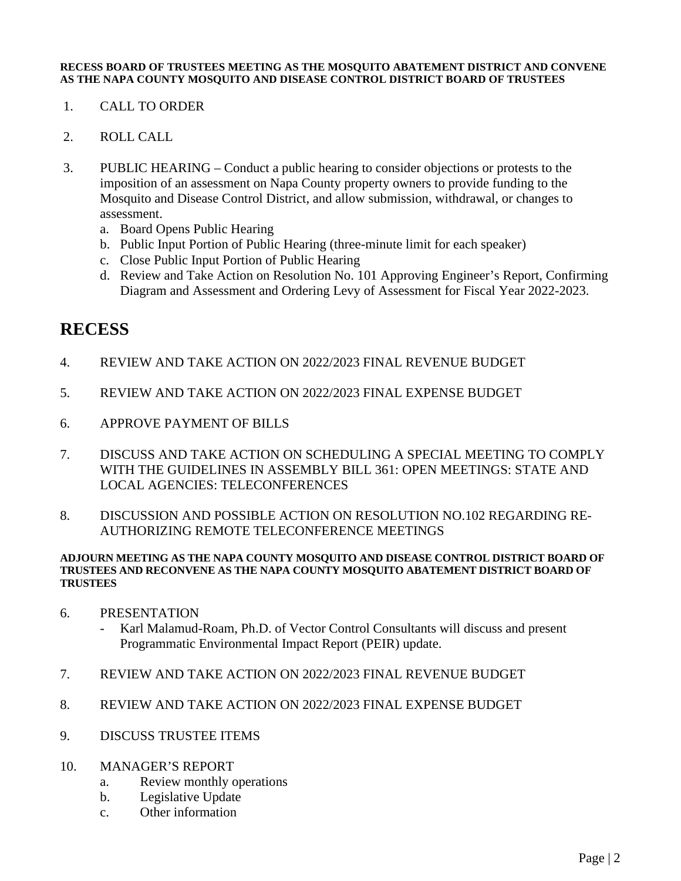#### **RECESS BOARD OF TRUSTEES MEETING AS THE MOSQUITO ABATEMENT DISTRICT AND CONVENE AS THE NAPA COUNTY MOSQUITO AND DISEASE CONTROL DISTRICT BOARD OF TRUSTEES**

- 1. CALL TO ORDER
- 2. ROLL CALL
- 3. PUBLIC HEARING Conduct a public hearing to consider objections or protests to the imposition of an assessment on Napa County property owners to provide funding to the Mosquito and Disease Control District, and allow submission, withdrawal, or changes to assessment.
	- a. Board Opens Public Hearing
	- b. Public Input Portion of Public Hearing (three-minute limit for each speaker)
	- c. Close Public Input Portion of Public Hearing
	- d. Review and Take Action on Resolution No. 101 Approving Engineer's Report, Confirming Diagram and Assessment and Ordering Levy of Assessment for Fiscal Year 2022-2023.

### **RECESS**

- 4. REVIEW AND TAKE ACTION ON 2022/2023 FINAL REVENUE BUDGET
- 5. REVIEW AND TAKE ACTION ON 2022/2023 FINAL EXPENSE BUDGET
- 6. APPROVE PAYMENT OF BILLS
- 7. DISCUSS AND TAKE ACTION ON SCHEDULING A SPECIAL MEETING TO COMPLY WITH THE GUIDELINES IN ASSEMBLY BILL 361: OPEN MEETINGS: STATE AND LOCAL AGENCIES: TELECONFERENCES
- 8. DISCUSSION AND POSSIBLE ACTION ON RESOLUTION NO.102 REGARDING RE-AUTHORIZING REMOTE TELECONFERENCE MEETINGS

#### **ADJOURN MEETING AS THE NAPA COUNTY MOSQUITO AND DISEASE CONTROL DISTRICT BOARD OF TRUSTEES AND RECONVENE AS THE NAPA COUNTY MOSQUITO ABATEMENT DISTRICT BOARD OF TRUSTEES**

- 6. PRESENTATION
	- Karl Malamud-Roam, Ph.D. of Vector Control Consultants will discuss and present Programmatic Environmental Impact Report (PEIR) update.
- 7. REVIEW AND TAKE ACTION ON 2022/2023 FINAL REVENUE BUDGET
- 8. REVIEW AND TAKE ACTION ON 2022/2023 FINAL EXPENSE BUDGET
- 9. DISCUSS TRUSTEE ITEMS
- 10. MANAGER'S REPORT
	- a. Review monthly operations
	- b. Legislative Update
	- c. Other information